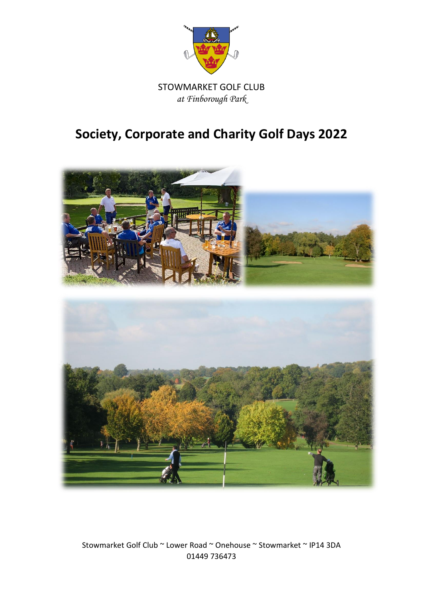

# **Society, Corporate and Charity Golf Days 2022**



Stowmarket Golf Club ~ Lower Road ~ Onehouse ~ Stowmarket ~ IP14 3DA 01449 736473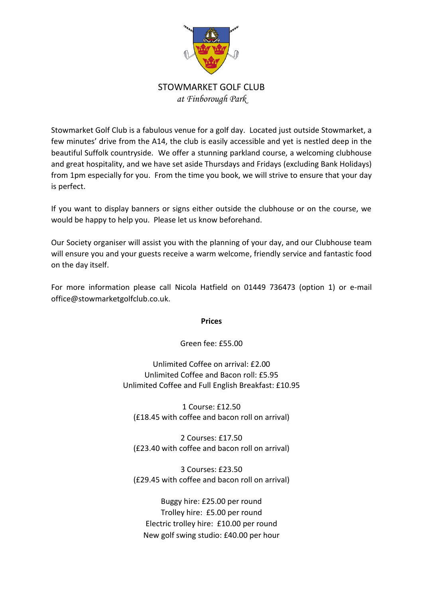

Stowmarket Golf Club is a fabulous venue for a golf day. Located just outside Stowmarket, a few minutes' drive from the A14, the club is easily accessible and yet is nestled deep in the beautiful Suffolk countryside. We offer a stunning parkland course, a welcoming clubhouse and great hospitality, and we have set aside Thursdays and Fridays (excluding Bank Holidays) from 1pm especially for you. From the time you book, we will strive to ensure that your day is perfect.

If you want to display banners or signs either outside the clubhouse or on the course, we would be happy to help you. Please let us know beforehand.

Our Society organiser will assist you with the planning of your day, and our Clubhouse team will ensure you and your guests receive a warm welcome, friendly service and fantastic food on the day itself.

For more information please call Nicola Hatfield on 01449 736473 (option 1) or e-mail office@stowmarketgolfclub.co.uk.

**Prices**

Green fee: £55.00

Unlimited Coffee on arrival: £2.00 Unlimited Coffee and Bacon roll: £5.95 Unlimited Coffee and Full English Breakfast: £10.95

1 Course: £12.50 (£18.45 with coffee and bacon roll on arrival)

2 Courses: £17.50 (£23.40 with coffee and bacon roll on arrival)

3 Courses: £23.50 (£29.45 with coffee and bacon roll on arrival)

Buggy hire: £25.00 per round Trolley hire: £5.00 per round Electric trolley hire: £10.00 per round New golf swing studio: £40.00 per hour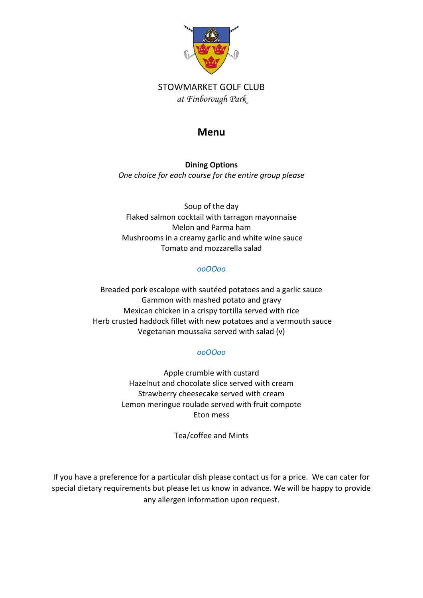

### **Menu**

**Dining Options** *One choice for each course for the entire group please*

Soup of the day Flaked salmon cocktail with tarragon mayonnaise Melon and Parma ham Mushrooms in a creamy garlic and white wine sauce Tomato and mozzarella salad

#### *ooOOoo*

Breaded pork escalope with sautéed potatoes and a garlic sauce Gammon with mashed potato and gravy Mexican chicken in a crispy tortilla served with rice Herb crusted haddock fillet with new potatoes and a vermouth sauce Vegetarian moussaka served with salad (v)

#### *ooOOoo*

Apple crumble with custard Hazelnut and chocolate slice served with cream Strawberry cheesecake served with cream Lemon meringue roulade served with fruit compote Eton mess

Tea/coffee and Mints

If you have a preference for a particular dish please contact us for a price. We can cater for special dietary requirements but please let us know in advance. We will be happy to provide any allergen information upon request.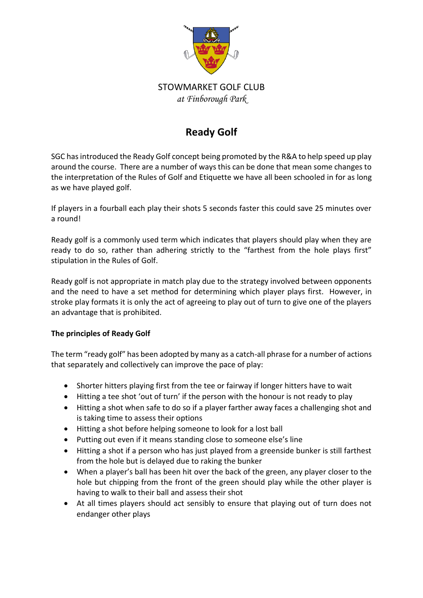

# **Ready Golf**

SGC has introduced the Ready Golf concept being promoted by the R&A to help speed up play around the course. There are a number of ways this can be done that mean some changes to the interpretation of the Rules of Golf and Etiquette we have all been schooled in for as long as we have played golf.

If players in a fourball each play their shots 5 seconds faster this could save 25 minutes over a round!

Ready golf is a commonly used term which indicates that players should play when they are ready to do so, rather than adhering strictly to the "farthest from the hole plays first" stipulation in the Rules of Golf.

Ready golf is not appropriate in match play due to the strategy involved between opponents and the need to have a set method for determining which player plays first. However, in stroke play formats it is only the act of agreeing to play out of turn to give one of the players an advantage that is prohibited.

#### **The principles of Ready Golf**

The term "ready golf" has been adopted by many as a catch-all phrase for a number of actions that separately and collectively can improve the pace of play:

- Shorter hitters playing first from the tee or fairway if longer hitters have to wait
- Hitting a tee shot 'out of turn' if the person with the honour is not ready to play
- Hitting a shot when safe to do so if a player farther away faces a challenging shot and is taking time to assess their options
- Hitting a shot before helping someone to look for a lost ball
- Putting out even if it means standing close to someone else's line
- Hitting a shot if a person who has just played from a greenside bunker is still farthest from the hole but is delayed due to raking the bunker
- When a player's ball has been hit over the back of the green, any player closer to the hole but chipping from the front of the green should play while the other player is having to walk to their ball and assess their shot
- At all times players should act sensibly to ensure that playing out of turn does not endanger other plays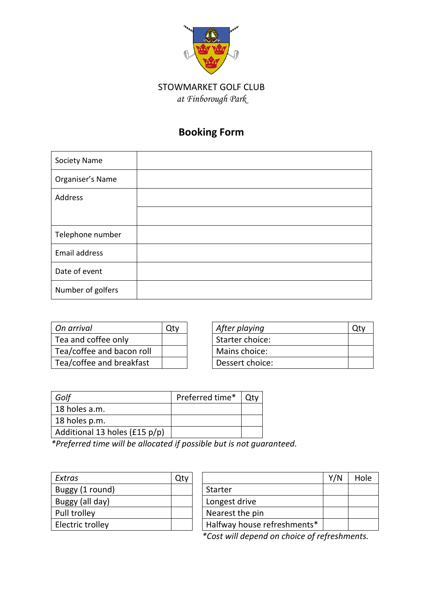

# **Booking Form**

| Society Name      |  |
|-------------------|--|
| Organiser's Name  |  |
| Address           |  |
|                   |  |
| Telephone number  |  |
| Email address     |  |
| Date of event     |  |
| Number of golfers |  |

| On arrival                | After playing   |  |
|---------------------------|-----------------|--|
| Tea and coffee only       | Starter choice: |  |
| Tea/coffee and bacon roll | Mains choice:   |  |
| Tea/coffee and breakfast  | Dessert choice: |  |

| On arrival                | )tv | After playing   |  |
|---------------------------|-----|-----------------|--|
| Tea and coffee only       |     | Starter choice: |  |
| Tea/coffee and bacon roll |     | Mains choice:   |  |
| Tea/coffee and breakfast  |     | Dessert choice: |  |

| Golf                          | Preferred time* |  |
|-------------------------------|-----------------|--|
| 18 holes a.m.                 |                 |  |
| 18 holes p.m.                 |                 |  |
| Additional 13 holes (£15 p/p) |                 |  |

*\*Preferred time will be allocated if possible but is not guaranteed.*

| Extras           | Qt۱ |                             |
|------------------|-----|-----------------------------|
| Buggy (1 round)  |     | <b>Starter</b>              |
| Buggy (all day)  |     | Longest drive               |
| Pull trolley     |     | Nearest the pin             |
| Electric trolley |     | Halfway house refreshments* |

| Extras           | Qty |                             | Y/N | Hole |
|------------------|-----|-----------------------------|-----|------|
| Buggy (1 round)  |     | Starter                     |     |      |
| Buggy (all day)  |     | Longest drive               |     |      |
| Pull trolley     |     | Nearest the pin             |     |      |
| Electric trolley |     | Halfway house refreshments* |     |      |

*\*Cost will depend on choice of refreshments.*